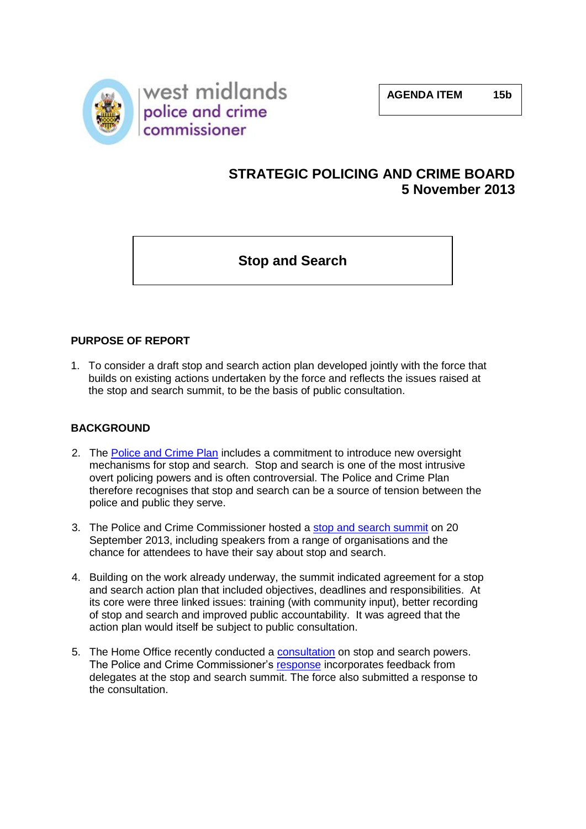

# **STRATEGIC POLICING AND CRIME BOARD 5 November 2013**

**Stop and Search**

### **PURPOSE OF REPORT**

1. To consider a draft stop and search action plan developed jointly with the force that builds on existing actions undertaken by the force and reflects the issues raised at the stop and search summit, to be the basis of public consultation.

### **BACKGROUND**

- 2. The [Police and Crime Plan](http://www.westmidlands-pcc.gov.uk/media/211943/police_and_crime_plan_2013.pdf) includes a commitment to introduce new oversight mechanisms for stop and search. Stop and search is one of the most intrusive overt policing powers and is often controversial. The Police and Crime Plan therefore recognises that stop and search can be a source of tension between the police and public they serve.
- 3. The Police and Crime Commissioner hosted a [stop and search summit](http://www.westmidlands-pcc.gov.uk/media/235034/stop_and_search_summit_agenda_v6.pdf) on 20 September 2013, including speakers from a range of organisations and the chance for attendees to have their say about stop and search.
- 4. Building on the work already underway, the summit indicated agreement for a stop and search action plan that included objectives, deadlines and responsibilities. At its core were three linked issues: training (with community input), better recording of stop and search and improved public accountability. It was agreed that the action plan would itself be subject to public consultation.
- 5. The Home Office recently conducted a [consultation](https://www.gov.uk/government/consultations/stop-and-search) on stop and search powers. The Police and Crime Commissioner's [response](http://www.westmidlands-pcc.gov.uk/media/237538/response_to_home_office_consultation_on_police_powers_of_stop_and_search.pdf) incorporates feedback from delegates at the stop and search summit. The force also submitted a response to the consultation.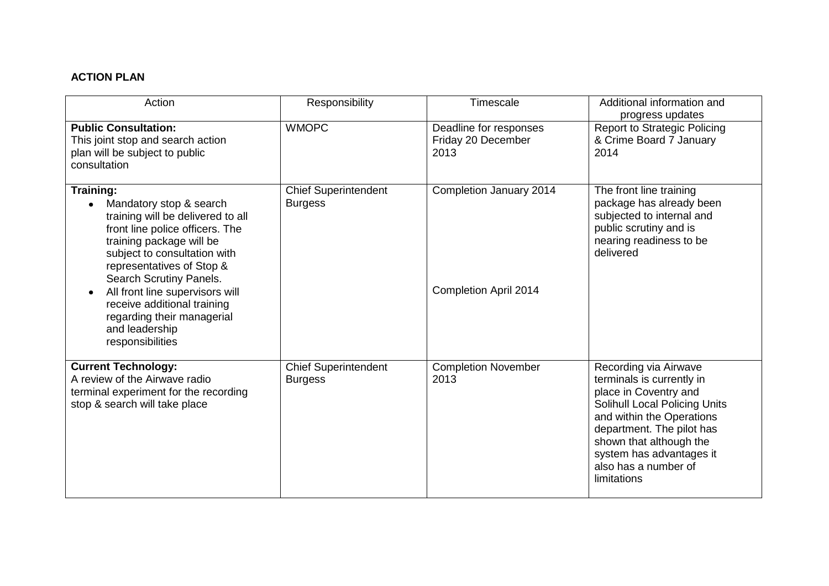# **ACTION PLAN**

| Action                                                                                                                                                                                                                                                                                                                                                                        | Responsibility                                | Timescale                                               | Additional information and<br>progress updates                                                                                                                                                                                                                              |
|-------------------------------------------------------------------------------------------------------------------------------------------------------------------------------------------------------------------------------------------------------------------------------------------------------------------------------------------------------------------------------|-----------------------------------------------|---------------------------------------------------------|-----------------------------------------------------------------------------------------------------------------------------------------------------------------------------------------------------------------------------------------------------------------------------|
| <b>Public Consultation:</b><br>This joint stop and search action<br>plan will be subject to public<br>consultation                                                                                                                                                                                                                                                            | <b>WMOPC</b>                                  | Deadline for responses<br>Friday 20 December<br>2013    | <b>Report to Strategic Policing</b><br>& Crime Board 7 January<br>2014                                                                                                                                                                                                      |
| <b>Training:</b><br>Mandatory stop & search<br>training will be delivered to all<br>front line police officers. The<br>training package will be<br>subject to consultation with<br>representatives of Stop &<br>Search Scrutiny Panels.<br>All front line supervisors will<br>receive additional training<br>regarding their managerial<br>and leadership<br>responsibilities | <b>Chief Superintendent</b><br><b>Burgess</b> | Completion January 2014<br><b>Completion April 2014</b> | The front line training<br>package has already been<br>subjected to internal and<br>public scrutiny and is<br>nearing readiness to be<br>delivered                                                                                                                          |
| <b>Current Technology:</b><br>A review of the Airwave radio<br>terminal experiment for the recording<br>stop & search will take place                                                                                                                                                                                                                                         | <b>Chief Superintendent</b><br><b>Burgess</b> | <b>Completion November</b><br>2013                      | Recording via Airwave<br>terminals is currently in<br>place in Coventry and<br><b>Solihull Local Policing Units</b><br>and within the Operations<br>department. The pilot has<br>shown that although the<br>system has advantages it<br>also has a number of<br>limitations |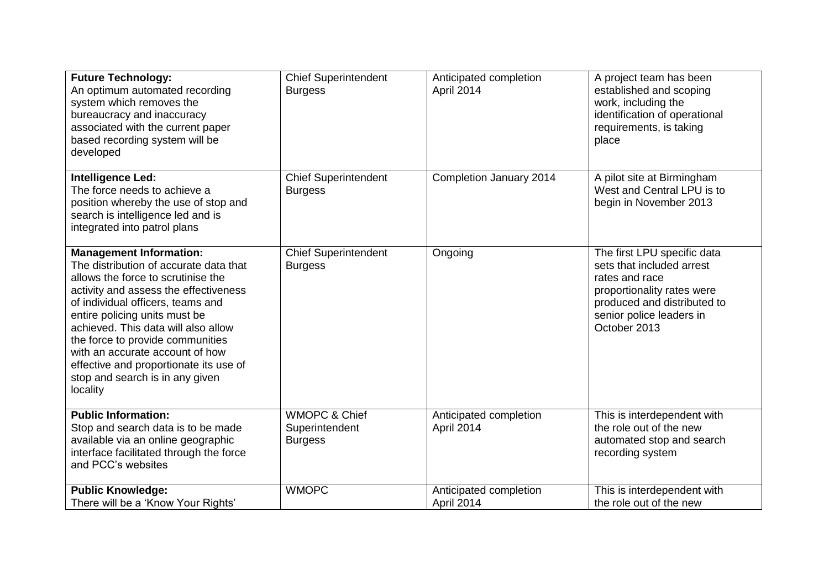| <b>Future Technology:</b><br>An optimum automated recording<br>system which removes the<br>bureaucracy and inaccuracy<br>associated with the current paper<br>based recording system will be<br>developed                                                                                                                                                                                                                            | <b>Chief Superintendent</b><br><b>Burgess</b>                | Anticipated completion<br>April 2014 | A project team has been<br>established and scoping<br>work, including the<br>identification of operational<br>requirements, is taking<br>place                                      |
|--------------------------------------------------------------------------------------------------------------------------------------------------------------------------------------------------------------------------------------------------------------------------------------------------------------------------------------------------------------------------------------------------------------------------------------|--------------------------------------------------------------|--------------------------------------|-------------------------------------------------------------------------------------------------------------------------------------------------------------------------------------|
| Intelligence Led:<br>The force needs to achieve a<br>position whereby the use of stop and<br>search is intelligence led and is<br>integrated into patrol plans                                                                                                                                                                                                                                                                       | <b>Chief Superintendent</b><br><b>Burgess</b>                | Completion January 2014              | A pilot site at Birmingham<br>West and Central LPU is to<br>begin in November 2013                                                                                                  |
| <b>Management Information:</b><br>The distribution of accurate data that<br>allows the force to scrutinise the<br>activity and assess the effectiveness<br>of individual officers, teams and<br>entire policing units must be<br>achieved. This data will also allow<br>the force to provide communities<br>with an accurate account of how<br>effective and proportionate its use of<br>stop and search is in any given<br>locality | <b>Chief Superintendent</b><br><b>Burgess</b>                | Ongoing                              | The first LPU specific data<br>sets that included arrest<br>rates and race<br>proportionality rates were<br>produced and distributed to<br>senior police leaders in<br>October 2013 |
| <b>Public Information:</b><br>Stop and search data is to be made<br>available via an online geographic<br>interface facilitated through the force<br>and PCC's websites                                                                                                                                                                                                                                                              | <b>WMOPC &amp; Chief</b><br>Superintendent<br><b>Burgess</b> | Anticipated completion<br>April 2014 | This is interdependent with<br>the role out of the new<br>automated stop and search<br>recording system                                                                             |
| <b>Public Knowledge:</b><br>There will be a 'Know Your Rights'                                                                                                                                                                                                                                                                                                                                                                       | <b>WMOPC</b>                                                 | Anticipated completion<br>April 2014 | This is interdependent with<br>the role out of the new                                                                                                                              |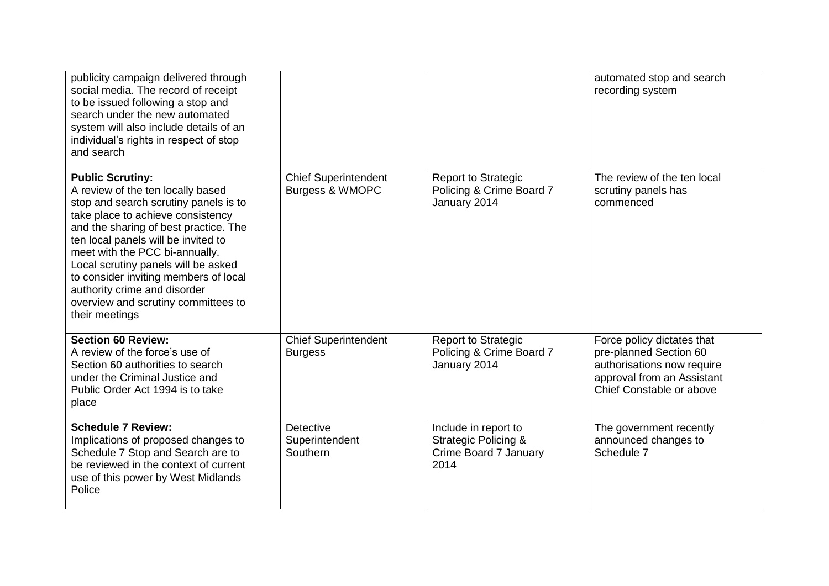| publicity campaign delivered through<br>social media. The record of receipt<br>to be issued following a stop and<br>search under the new automated<br>system will also include details of an<br>individual's rights in respect of stop<br>and search                                                                                                                                                                                  |                                                       |                                                                                          | automated stop and search<br>recording system                                                                                                |
|---------------------------------------------------------------------------------------------------------------------------------------------------------------------------------------------------------------------------------------------------------------------------------------------------------------------------------------------------------------------------------------------------------------------------------------|-------------------------------------------------------|------------------------------------------------------------------------------------------|----------------------------------------------------------------------------------------------------------------------------------------------|
| <b>Public Scrutiny:</b><br>A review of the ten locally based<br>stop and search scrutiny panels is to<br>take place to achieve consistency<br>and the sharing of best practice. The<br>ten local panels will be invited to<br>meet with the PCC bi-annually.<br>Local scrutiny panels will be asked<br>to consider inviting members of local<br>authority crime and disorder<br>overview and scrutiny committees to<br>their meetings | <b>Chief Superintendent</b><br>Burgess & WMOPC        | <b>Report to Strategic</b><br>Policing & Crime Board 7<br>January 2014                   | The review of the ten local<br>scrutiny panels has<br>commenced                                                                              |
| <b>Section 60 Review:</b><br>A review of the force's use of<br>Section 60 authorities to search<br>under the Criminal Justice and<br>Public Order Act 1994 is to take<br>place                                                                                                                                                                                                                                                        | <b>Chief Superintendent</b><br><b>Burgess</b>         | <b>Report to Strategic</b><br>Policing & Crime Board 7<br>January 2014                   | Force policy dictates that<br>pre-planned Section 60<br>authorisations now require<br>approval from an Assistant<br>Chief Constable or above |
| <b>Schedule 7 Review:</b><br>Implications of proposed changes to<br>Schedule 7 Stop and Search are to<br>be reviewed in the context of current<br>use of this power by West Midlands<br>Police                                                                                                                                                                                                                                        | <b>Detective</b><br>Superintendent<br><b>Southern</b> | Include in report to<br><b>Strategic Policing &amp;</b><br>Crime Board 7 January<br>2014 | The government recently<br>announced changes to<br>Schedule 7                                                                                |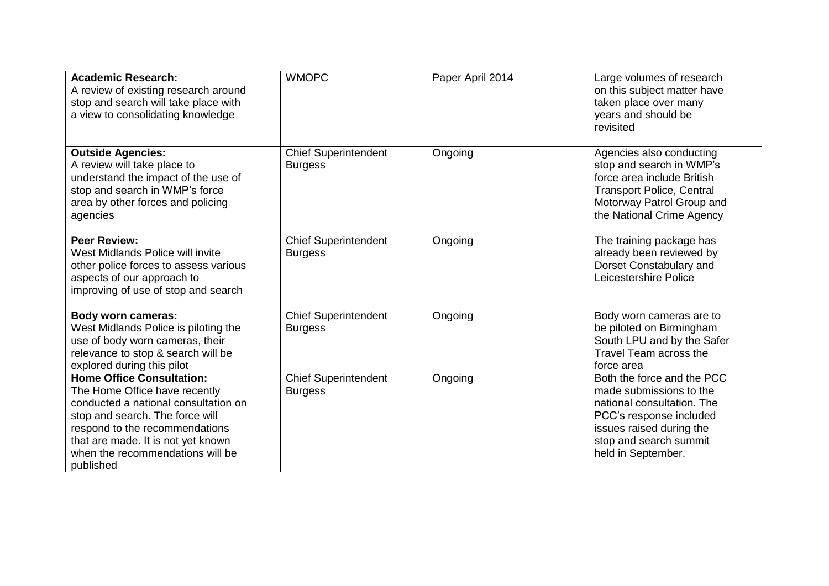| <b>Academic Research:</b><br>A review of existing research around<br>stop and search will take place with<br>a view to consolidating knowledge                                                                                                                        | <b>WMOPC</b>                                  | Paper April 2014 | Large volumes of research<br>on this subject matter have<br>taken place over many<br>years and should be<br>revisited                                                                      |
|-----------------------------------------------------------------------------------------------------------------------------------------------------------------------------------------------------------------------------------------------------------------------|-----------------------------------------------|------------------|--------------------------------------------------------------------------------------------------------------------------------------------------------------------------------------------|
| <b>Outside Agencies:</b><br>A review will take place to<br>understand the impact of the use of<br>stop and search in WMP's force<br>area by other forces and policing<br>agencies                                                                                     | <b>Chief Superintendent</b><br><b>Burgess</b> | Ongoing          | Agencies also conducting<br>stop and search in WMP's<br>force area include British<br><b>Transport Police, Central</b><br>Motorway Patrol Group and<br>the National Crime Agency           |
| <b>Peer Review:</b><br>West Midlands Police will invite<br>other police forces to assess various<br>aspects of our approach to<br>improving of use of stop and search                                                                                                 | <b>Chief Superintendent</b><br><b>Burgess</b> | Ongoing          | The training package has<br>already been reviewed by<br>Dorset Constabulary and<br>Leicestershire Police                                                                                   |
| <b>Body worn cameras:</b><br>West Midlands Police is piloting the<br>use of body worn cameras, their<br>relevance to stop & search will be<br>explored during this pilot                                                                                              | <b>Chief Superintendent</b><br><b>Burgess</b> | Ongoing          | Body worn cameras are to<br>be piloted on Birmingham<br>South LPU and by the Safer<br>Travel Team across the<br>force area                                                                 |
| <b>Home Office Consultation:</b><br>The Home Office have recently<br>conducted a national consultation on<br>stop and search. The force will<br>respond to the recommendations<br>that are made. It is not yet known<br>when the recommendations will be<br>published | <b>Chief Superintendent</b><br><b>Burgess</b> | Ongoing          | Both the force and the PCC<br>made submissions to the<br>national consultation. The<br>PCC's response included<br>issues raised during the<br>stop and search summit<br>held in September. |